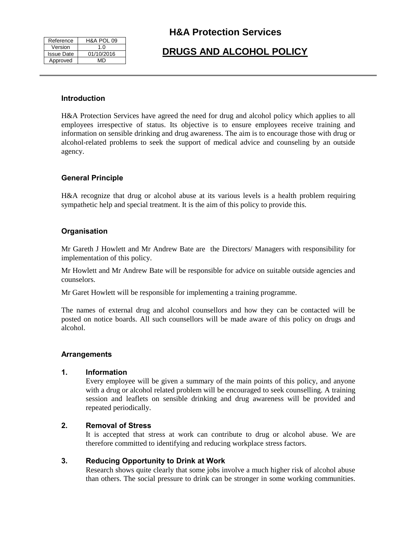| Reference         | H&A POL 09 |
|-------------------|------------|
| Version           | 1.0        |
| <b>Issue Date</b> | 01/10/2016 |
| Approved          | MD         |

## **H&A Protection Services**

# **DRUGS AND ALCOHOL POLICY**

### **Introduction**

H&A Protection Services have agreed the need for drug and alcohol policy which applies to all employees irrespective of status. Its objective is to ensure employees receive training and information on sensible drinking and drug awareness. The aim is to encourage those with drug or alcohol-related problems to seek the support of medical advice and counseling by an outside agency.

### **General Principle**

H&A recognize that drug or alcohol abuse at its various levels is a health problem requiring sympathetic help and special treatment. It is the aim of this policy to provide this.

### **Organisation**

Mr Gareth J Howlett and Mr Andrew Bate are the Directors/ Managers with responsibility for implementation of this policy.

Mr Howlett and Mr Andrew Bate will be responsible for advice on suitable outside agencies and counselors.

Mr Garet Howlett will be responsible for implementing a training programme.

The names of external drug and alcohol counsellors and how they can be contacted will be posted on notice boards. All such counsellors will be made aware of this policy on drugs and alcohol.

### **Arrangements**

### **1. Information**

Every employee will be given a summary of the main points of this policy, and anyone with a drug or alcohol related problem will be encouraged to seek counselling. A training session and leaflets on sensible drinking and drug awareness will be provided and repeated periodically.

### **2. Removal of Stress**

It is accepted that stress at work can contribute to drug or alcohol abuse. We are therefore committed to identifying and reducing workplace stress factors.

### **3. Reducing Opportunity to Drink at Work**

Research shows quite clearly that some jobs involve a much higher risk of alcohol abuse than others. The social pressure to drink can be stronger in some working communities.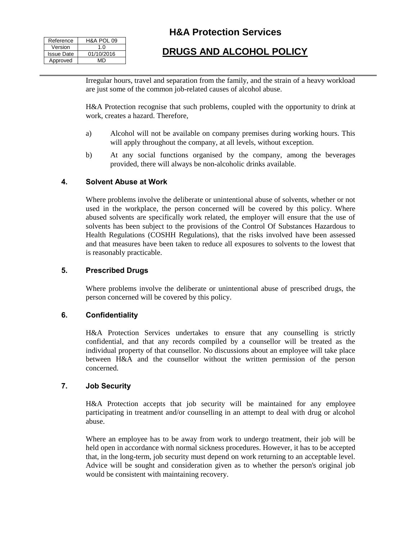| Reference         | H&A POL 09  |
|-------------------|-------------|
| Version           | 1. $\Omega$ |
| <b>Issue Date</b> | 01/10/2016  |
| Approved          | MD          |

## **H&A Protection Services**

# **DRUGS AND ALCOHOL POLICY**

Irregular hours, travel and separation from the family, and the strain of a heavy workload are just some of the common job-related causes of alcohol abuse.

H&A Protection recognise that such problems, coupled with the opportunity to drink at work, creates a hazard. Therefore,

- a) Alcohol will not be available on company premises during working hours. This will apply throughout the company, at all levels, without exception.
- b) At any social functions organised by the company, among the beverages provided, there will always be non-alcoholic drinks available.

### **4. Solvent Abuse at Work**

Where problems involve the deliberate or unintentional abuse of solvents, whether or not used in the workplace, the person concerned will be covered by this policy. Where abused solvents are specifically work related, the employer will ensure that the use of solvents has been subject to the provisions of the Control Of Substances Hazardous to Health Regulations (COSHH Regulations), that the risks involved have been assessed and that measures have been taken to reduce all exposures to solvents to the lowest that is reasonably practicable.

### **5. Prescribed Drugs**

Where problems involve the deliberate or unintentional abuse of prescribed drugs, the person concerned will be covered by this policy.

### **6. Confidentiality**

H&A Protection Services undertakes to ensure that any counselling is strictly confidential, and that any records compiled by a counsellor will be treated as the individual property of that counsellor. No discussions about an employee will take place between H&A and the counsellor without the written permission of the person concerned.

### **7. Job Security**

H&A Protection accepts that job security will be maintained for any employee participating in treatment and/or counselling in an attempt to deal with drug or alcohol abuse.

Where an employee has to be away from work to undergo treatment, their job will be held open in accordance with normal sickness procedures. However, it has to be accepted that, in the long-term, job security must depend on work returning to an acceptable level. Advice will be sought and consideration given as to whether the person's original job would be consistent with maintaining recovery.